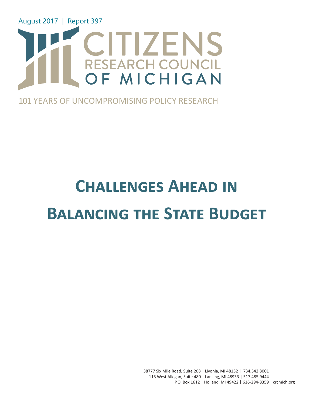

### 101 YEARS OF UNCOMPROMISING POLICY RESEARCH

# **Challenges Ahead in Balancing the State Budget**

38777 Six Mile Road, Suite 208 | Livonia, MI 48152 | 734.542.8001 115 West Allegan, Suite 480 | Lansing, MI 48933 | 517.485.9444 P.O. Box 1612 | Holland, MI 49422 | 616-294-8359 | crcmich.org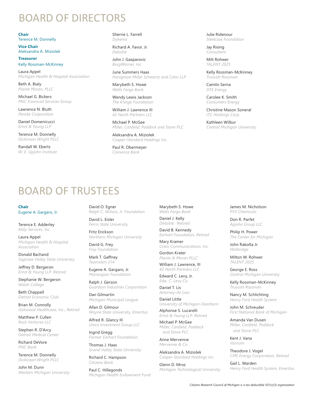### BOARD OF DIRECTORS

**Chair**  Terence M. Donnelly

**Vice Chair**  Aleksandra A. Miziolek

**Treasurer**  Kelly Rossman-McKinney

Laura Appel *Michigan Health & Hospital Association*

Beth A. Bialy *Plante Moran, PLLC*

Michael G .Bickers *PNC Financial Services Group*

Lawrence N. Bluth *Penske Corporation*

Daniel Domenicucci *Ernst & Young LLP*

Terence M. Donnelly *Dickinson Wright PLLC*

Randall W. Eberts *W. E. Upjohn Institute* Sherrie L. Farrell *Dykema*

Richard A. Favor, Jr. *Deloitte*

John J. Gasparovic *BorgWarner, Inc.*

June Summers Haas *Honigman Miller Schwartz and Cohn LLP*

Marybeth S. Howe *Wells Fargo Bank*

Wendy Lewis Jackson *The Kresge Foundation*

William J. Lawrence III *42 North Partners LLC*

Michael P. McGee *Miller, Canfield, Paddock and Stone PLC*

> Marybeth S. Howe *Wells Fargo Bank* Daniel J. Kelly *Deloitte. Retired* David B. Kennedy *Earhart Foundation, Retired*

Mary Kramer

Gordon Krater *Plante & Moran PLLC* William J. Lawrence, III *42 North Partners LLC* Edward C. Levy, Jr. *Edw. C. Levy Co.* Daniel T. Lis *Attorney-At-Law* Daniel Little

*Crain Communications, Inc.*

*University of Michigan-Dearborn*

Alphonse S. Lucarelli *Ernst & Young LLP. Retired*  Michael P. McGee *Miller, Canfield, Paddock and Stone PLC* Anne Mervenne *Mervenne & Co.*

Aleksandra A. Miziolek *Cooper-Standard Holdings Inc.*

*Michigan Technological University*

Glenn D. Mroz

Aleksandra A. Miziolek *Cooper-Standard Holdings Inc.*

Paul R. Obermeyer *Comerica Bank*

## BOARD OF TRUSTEES

**Chair** Eugene A. Gargaro, Jr.

Terence E. Adderley *Kelly Services, Inc.*

Laura Appel *Michigan Health & Hospital Association*

Donald Bachand *Saginaw Valley State University*

Jeffrey D. Bergeron *Ernst & Young LLP. Retired*

Stephanie W. Bergeron *Walsh College*

Beth Chappell *Detroit Economic Club*

Brian M. Connolly *Oakwood Healthcare, Inc., Retired*

Matthew P. Cullen *Rock Ventures LLC*

Stephen R. D'Arcy *Detroit Medical Center*

Richard DeVore *PNC Bank*

Terence M. Donnelly *Dickinson Wright PLLC*

John M. Dunn *Western Michigan University*

David O. Egner *Ralph C. Wilson, Jr. Foundation*

David L. Eisler *Ferris State University*

Fritz Erickson *Northern Michigan University*

David G. Frey *Frey Foundation*

Mark T. Gaffney *Teamsters 214*

Eugene A. Gargaro, Jr. *Manoogian Foundation*

Ralph J. Gerson *Guardian Industries Corporation*

Dan Gilmartin *Michigan Municipal League*

Allan D. Gilmour *Wayne State University, Emeritus*

Alfred R. Glancy III *Unico Investment Group LLC*

Ingrid Gregg *Former Earhart Foundation*

Thomas J. Haas *Grand Valley State University*

Richard C. Hampson *Citizens Bank*

Paul C. Hillegonds *Michigan Health Endowment Fund* Julie Ridenour *Steelcase Foundation*

Jay Rising *Consultant*

Milt Rohwer *TALENT 2025*

Kelly Rossman-McKinney *Truscott Rossman*

Camilo Serna *DTE Energy*

Carolee K. Smith *Consumers Energy*

Christine Mason Soneral *ITC Holdings Corp.*

Kathleen Wilbur *Central Michigan University*

> James M. Nicholson *PVS Chemicals*

> > Don R. Parfet *Apjohn Group LLC*

Philip H. Power *The Center for Michigan*

John Rakolta Jr. *Walbridge*

Milton W. Rohwer *TALENT 2025*

George E. Ross *Central Michigan University*

Kelly Rossman-McKinney *Truscott Rossman*

Nancy M. Schlichting *Henry Ford Health System*

John M. Schreuder *First National Bank of Michigan*

Amanda Van Dusen *Miller, Canfield, Paddock and Stone PLC*

Kent J. Vana *Varnum*

Theodore J. Vogel *CMS Energy Corporation, Retired*

Gail L. Warden *Henry Ford Health System, Emeritus*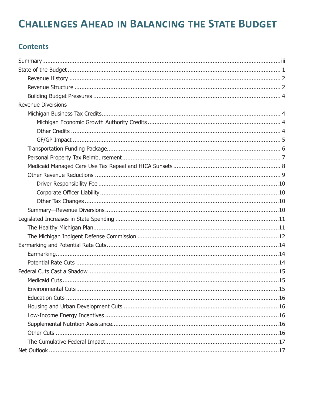### **CHALLENGES AHEAD IN BALANCING THE STATE BUDGET**

#### **Contents**

| <b>Revenue Diversions</b> |
|---------------------------|
|                           |
|                           |
|                           |
|                           |
|                           |
|                           |
|                           |
|                           |
|                           |
|                           |
|                           |
|                           |
|                           |
|                           |
|                           |
|                           |
|                           |
|                           |
|                           |
|                           |
|                           |
|                           |
|                           |
|                           |
|                           |
|                           |
|                           |
|                           |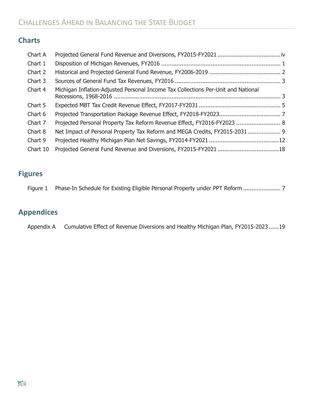### **Charts**

| Chart A  |                                                                                   |  |
|----------|-----------------------------------------------------------------------------------|--|
| Chart 1  |                                                                                   |  |
| Chart 2  |                                                                                   |  |
| Chart 3  |                                                                                   |  |
| Chart 4  | Michigan Inflation-Adjusted Personal Income Tax Collections Per-Unit and National |  |
| Chart 5  |                                                                                   |  |
| Chart 6  |                                                                                   |  |
| Chart 7  | Projected Personal Property Tax Reform Revenue Effect, FY2016-FY2023  8           |  |
| Chart 8  | Net Impact of Personal Property Tax Reform and MEGA Credits, FY2015-2031  9       |  |
| Chart 9  |                                                                                   |  |
| Chart 10 |                                                                                   |  |
|          |                                                                                   |  |

### **Figures**

|  | Figure 1 Phase-In Schedule for Existing Eligible Personal Property under PPT Reform 7 |
|--|---------------------------------------------------------------------------------------|
|--|---------------------------------------------------------------------------------------|

### **Appendices**

Appendix A Cumulative Effect of Revenue Diversions and Healthy Michigan Plan, FY2015-2023......19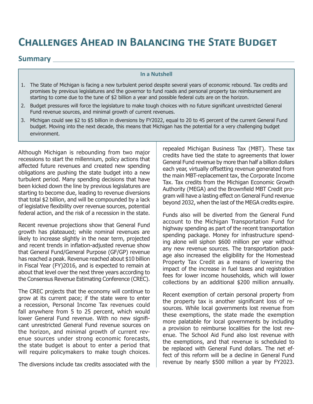### **Challenges Ahead in Balancing the State Budget**

#### **Summary**

#### **In a Nutshell**

- 1. The State of Michigan is facing a new turbulent period despite several years of economic rebound. Tax credits and promises by previous legislatures and the governor to fund roads and personal property tax reimbursement are starting to come due to the tune of \$2 billion a year and possible federal cuts are on the horizon.
- 2. Budget pressures will force the legislature to make tough choices with no future significant unrestricted General Fund revenue sources, and minimal growth of current revenues.
- 3. Michigan could see \$2 to \$5 billion in diversions by FY2022, equal to 20 to 45 percent of the current General Fund budget. Moving into the next decade, this means that Michigan has the potential for a very challenging budget environment.

Although Michigan is rebounding from two major recessions to start the millennium, policy actions that affected future revenues and created new spending obligations are pushing the state budget into a new turbulent period. Many spending decisions that have been kicked down the line by previous legislatures are starting to become due, leading to revenue diversions that total \$2 billion, and will be compounded by a lack of legislative flexibility over revenue sources, potential federal action, and the risk of a recession in the state.

Recent revenue projections show that General Fund growth has plateaued; while nominal revenues are likely to increase slightly in the near term, projected and recent trends in inflation-adjusted revenue show that General Fund/General Purpose (GF/GP) revenue has reached a peak. Revenue reached about \$10 billion in Fiscal Year (FY)2016, and is expected to remain at about that level over the next three years according to the Consensus Revenue Estimating Conference (CREC).

The CREC projects that the economy will continue to grow at its current pace; if the state were to enter a recession, Personal Income Tax revenues could fall anywhere from 5 to 25 percent, which would lower General Fund revenue. With no new significant unrestricted General Fund revenue sources on the horizon, and minimal growth of current revenue sources under strong economic forecasts, the state budget is about to enter a period that will require policymakers to make tough choices.

The diversions include tax credits associated with the

repealed Michigan Business Tax (MBT). These tax credits have tied the state to agreements that lower General Fund revenue by more than half a billion dollars each year, virtually offsetting revenue generated from the main MBT-replacement tax, the Corporate Income Tax. Tax credits from the Michigan Economic Growth Authority (MEGA) and the Brownfield MBT Credit program will have a lasting effect on General Fund revenue beyond 2032, when the last of the MEGA credits expire.

Funds also will be diverted from the General Fund account to the Michigan Transportation Fund for highway spending as part of the recent transportation spending package. Money for infrastructure spending alone will siphon \$600 million per year without any new revenue sources. The transportation package also increased the eligibility for the Homestead Property Tax Credit as a means of lowering the impact of the increase in fuel taxes and registration fees for lower income households, which will lower collections by an additional \$200 million annually.

Recent exemption of certain personal property from the property tax is another significant loss of resources. While local governments lost revenue from these exemptions, the state made the exemption more palatable for local governments by including a provision to reimburse localities for the lost revenue. The School Aid Fund also lost revenue with the exemptions, and that revenue is scheduled to be replaced with General Fund dollars. The net effect of this reform will be a decline in General Fund revenue by nearly \$500 million a year by FY2023.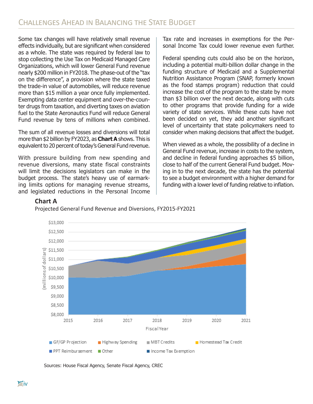Some tax changes will have relatively small revenue effects individually, but are significant when considered as a whole. The state was required by federal law to stop collecting the Use Tax on Medicaid Managed Care Organizations, which will lower General Fund revenue nearly \$200 million in FY2018. The phase-out of the "tax on the difference", a provision where the state taxed the trade-in value of automobiles, will reduce revenue more than \$15 million a year once fully implemented. Exempting data center equipment and over-the-counter drugs from taxation, and diverting taxes on aviation fuel to the State Aeronautics Fund will reduce General Fund revenue by tens of millions when combined.

The sum of all revenue losses and diversions will total more than \$2 billion by FY2023, as **Chart A** shows. This is equivalent to 20 percent of today's General Fund revenue.

With pressure building from new spending and revenue diversions, many state fiscal constraints will limit the decisions legislators can make in the budget process. The state's heavy use of earmarking limits options for managing revenue streams, and legislated reductions in the Personal Income Tax rate and increases in exemptions for the Personal Income Tax could lower revenue even further.

Federal spending cuts could also be on the horizon, including a potential multi-billion dollar change in the funding structure of Medicaid and a Supplemental Nutrition Assistance Program (SNAP, formerly known as the food stamps program) reduction that could increase the cost of the program to the state by more than \$3 billion over the next decade, along with cuts to other programs that provide funding for a wide variety of state services. While these cuts have not been decided on yet, they add another significant level of uncertainty that state policymakers need to consider when making decisions that affect the budget.

When viewed as a whole, the possibility of a decline in General Fund revenue, increase in costs to the system, and decline in federal funding approaches \$5 billion, close to half of the current General Fund budget. Moving in to the next decade, the state has the potential to see a budget environment with a higher demand for funding with a lower level of funding relative to inflation.

#### **Chart A**



Projected General Fund Revenue and Diversions, FY2015-FY2021

Sources: House Fiscal Agency, Senate Fiscal Agency, CREC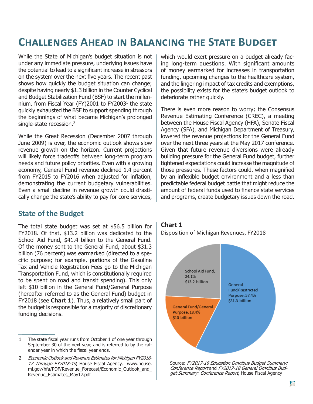### **Challenges Ahead in Balancing the State Budget**

While the State of Michigan's budget situation is not under any immediate pressure, underlying issues have the potential to lead to a significant increase in stressors on the system over the next five years. The recent past shows how quickly the budget situation can change; despite having nearly \$1.3 billion in the Counter Cyclical and Budget Stabilization Fund (BSF) to start the millennium, from Fiscal Year (FY)2001 to FY20031 the state quickly exhausted the BSF to support spending through the beginnings of what became Michigan's prolonged single-state recession.<sup>2</sup>

While the Great Recession (December 2007 through June 2009) is over, the economic outlook shows slow revenue growth on the horizon. Current projections will likely force tradeoffs between long-term program needs and future policy priorities. Even with a growing economy, General Fund revenue declined 1.4 percent from FY2015 to FY2016 when adjusted for inflation, demonstrating the current budgetary vulnerabilities. Even a small decline in revenue growth could drastically change the state's ability to pay for core services,

which would exert pressure on a budget already facing long-term questions. With significant amounts of money earmarked for increases in transportation funding, upcoming changes to the healthcare system, and the lingering impact of tax credits and exemptions, the possibility exists for the state's budget outlook to deteriorate rather quickly.

There is even more reason to worry; the Consensus Revenue Estimating Conference (CREC), a meeting between the House Fiscal Agency (HFA), Senate Fiscal Agency (SFA), and Michigan Department of Treasury, lowered the revenue projections for the General Fund over the next three years at the May 2017 conference. Given that future revenue diversions were already building pressure for the General Fund budget, further tightened expectations could increase the magnitude of those pressures. These factors could, when magnified by an inflexible budget environment and a less than predictable federal budget battle that might reduce the amount of federal funds used to finance state services and programs, create budgetary issues down the road.

#### **State of the Budget**

The total state budget was set at \$56.5 billion for FY2018. Of that, \$13.2 billion was dedicated to the School Aid Fund, \$41.4 billion to the General Fund. Of the money sent to the General Fund, about \$31.3 billion (76 percent) was earmarked (directed to a specific purpose; for example, portions of the Gasoline Tax and Vehicle Registration Fees go to the Michigan Transportation Fund, which is constitutionally required to be spent on road and transit spending). This only left \$10 billion in the General Fund/General Purpose (hereafter referred to as the General Fund) budget in FY2018 (see **Chart 1**). Thus, a relatively small part of the budget is responsible for a majority of discretionary funding decisions.

<sup>2</sup> Economic Outlook and Revenue Estimates for Michigan FY2016- 17 Through FY2018-19, House Fiscal Agency, www.house. mi.gov/hfa/PDF/Revenue Forecast/Economic Outlook and Revenue\_Estimates\_May17.pdf



Source: FY2017-18 Education Omnibus Budget Summary: Conference Report and FY2017-18 General Omnibus Budget Summary: Conference Report, House Fiscal Agency

<sup>1</sup> The state fiscal year runs from October 1 of one year through September 30 of the next year, and is referred to by the calendar year in which the fiscal year ends.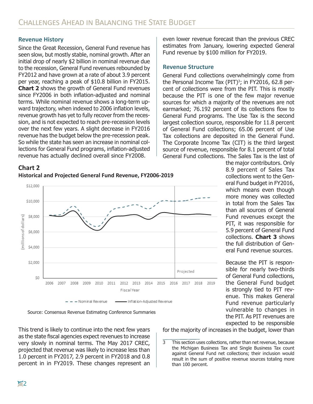#### **Revenue History**

Since the Great Recession, General Fund revenue has seen slow, but mostly stable, nominal growth. After an initial drop of nearly \$2 billion in nominal revenue due to the recession, General Fund revenues rebounded by FY2012 and have grown at a rate of about 3.9 percent per year, reaching a peak of \$10.8 billion in FY2015. **Chart 2** shows the growth of General Fund revenues since FY2006 in both inflation-adjusted and nominal terms. While nominal revenue shows a long-term upward trajectory, when indexed to 2006 inflation levels, revenue growth has yet to fully recover from the recession, and is not expected to reach pre-recession levels over the next few years. A slight decrease in FY2016 revenue has the budget below the pre-recession peak. So while the state has seen an increase in nominal collections for General Fund programs, inflation-adjusted revenue has actually declined overall since FY2008.

#### **Chart 2**





Source: Consensus Revenue Estimating Conference Summaries

This trend is likely to continue into the next few years as the state fiscal agencies expect revenues to increase very slowly in nominal terms. The May 2017 CREC, projected that revenue was likely to increase less than 1.0 percent in FY2017, 2.9 percent in FY2018 and 0.8 percent in in FY2019. These changes represent an

even lower revenue forecast than the previous CREC estimates from January, lowering expected General Fund revenue by \$100 million for FY2019.

#### **Revenue Structure**

General Fund collections overwhelmingly come from the Personal Income Tax (PIT)<sup>3</sup>; in FY2016, 62.8 percent of collections were from the PIT. This is mostly because the PIT is one of the few major revenue sources for which a majority of the revenues are not earmarked; 76.192 percent of its collections flow to General Fund programs. The Use Tax is the second largest collection source, responsible for 11.8 percent of General Fund collections; 65.06 percent of Use Tax collections are deposited in the General Fund. The Corporate Income Tax (CIT) is the third largest source of revenue, responsible for 8.1 percent of total General Fund collections. The Sales Tax is the last of

the major contributors. Only 8.9 percent of Sales Tax collections went to the General Fund budget in FY2016, which means even though more money was collected in total from the Sales Tax than all sources of General Fund revenues except the PIT, it was responsible for 5.9 percent of General Fund collections. **Chart 3** shows the full distribution of General Fund revenue sources.

Because the PIT is responsible for nearly two-thirds of General Fund collections, the General Fund budget is strongly tied to PIT revenue. This makes General Fund revenue particularly vulnerable to changes in the PIT. As PIT revenues are expected to be responsible for the majority of increases in the budget, lower than

3 This section uses collections, rather than net revenue, because the Michigan Business Tax and Single Business Tax count against General Fund net collections; their inclusion would result in the sum of positive revenue sources totaling more than 100 percent.

**2**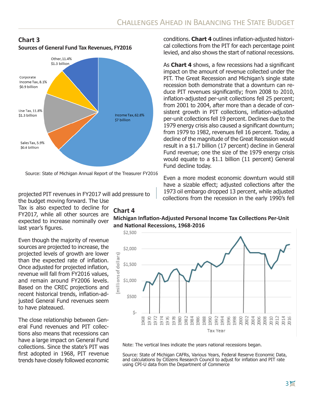#### **Chart 3 Sources of General Fund Tax Revenues, FY2016**



Source: State of Michigan Annual Report of the Treasurer FY2016

**Chart 4** 

#### projected PIT revenues in FY2017 will add pressure to the budget moving forward. The Use

Tax is also expected to decline for FY2017, while all other sources are expected to increase nominally over last year's figures.

Even though the majority of revenue sources are projected to increase, the projected levels of growth are lower than the expected rate of inflation. Once adjusted for projected inflation, revenue will fall from FY2016 values, and remain around FY2006 levels. Based on the CREC projections and recent historical trends, inflation-adjusted General Fund revenues seem to have plateaued.

The close relationship between General Fund revenues and PIT collections also means that recessions can have a large impact on General Fund collections. Since the state's PIT was first adopted in 1968, PIT revenue trends have closely followed economic

conditions. **Chart 4** outlines inflation-adjusted historical collections from the PIT for each percentage point levied, and also shows the start of national recessions.

As **Chart 4** shows, a few recessions had a significant impact on the amount of revenue collected under the PIT. The Great Recession and Michigan's single state recession both demonstrate that a downturn can reduce PIT revenues significantly; from 2008 to 2010, inflation-adjusted per-unit collections fell 25 percent; from 2001 to 2004, after more than a decade of consistent growth in PIT collections, inflation-adjusted per-unit collections fell 19 percent. Declines due to the 1979 energy crisis also caused a significant downturn; from 1979 to 1982, revenues fell 16 percent. Today, a decline of the magnitude of the Great Recession would result in a \$1.7 billion (17 percent) decline in General Fund revenue; one the size of the 1979 energy crisis would equate to a \$1.1 billion (11 percent) General Fund decline today.

Even a more modest economic downturn would still have a sizable effect; adjusted collections after the 1973 oil embargo dropped 13 percent, while adjusted collections from the recession in the early 1990's fell

#### **Michigan Inflation-Adjusted Personal Income Tax Collections Per-Unit and National Recessions, 1968-2016**

\$2,500 \$2,000 millions of dollars) \$1,500 \$1,000 \$500  $\zeta$ -1982<br>1984 994  $8884$ 2.GT 1974 1976 8<br>凹 80 86 988 g g 96 98 8  $\frac{8}{2}$ S 10 Tax Year

Note: The vertical lines indicate the years national recessions began.

Source: State of Michigan CAFRs, Various Years, Federal Reserve Economic Data, and calculations by Citizens Research Council to adjust for inflation and PIT rate using CPI-U data from the Department of Commerce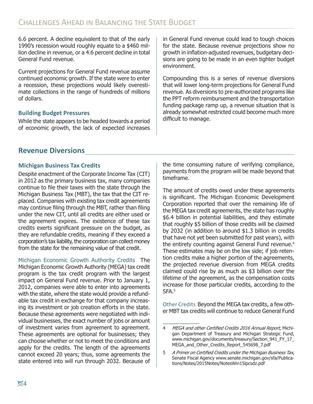6.6 percent. A decline equivalent to that of the early 1990's recession would roughly equate to a \$460 million decline in revenue, or a 4.6 percent decline in total General Fund revenue.

Current projections for General Fund revenue assume continued economic growth. If the state were to enter a recession, these projections would likely overestimate collections in the range of hundreds of millions of dollars.

#### **Building Budget Pressures**

While the state appears to be headed towards a period of economic growth, the lack of expected increases in General Fund revenue could lead to tough choices for the state. Because revenue projections show no growth in inflation-adjusted revenues, budgetary decisions are going to be made in an even tighter budget environment.

Compounding this is a series of revenue diversions that will lower long-term projections for General Fund revenue. As diversions to pre-authorized programs like the PPT reform reimbursement and the transportation funding package ramp up, a revenue situation that is already somewhat restricted could become much more difficult to manage.

#### **Revenue Diversions**

#### **Michigan Business Tax Credits**

Despite enactment of the Corporate Income Tax (CIT) in 2012 as the primary business tax, many companies continue to file their taxes with the state through the Michigan Business Tax (MBT), the tax that the CIT replaced. Companies with existing tax credit agreements may continue filing through the MBT, rather than filing under the new CIT, until all credits are either used or the agreement expires. The existence of these tax credits exerts significant pressure on the budget, as they are refundable credits, meaning if they exceed a corporation's tax liability, the corporation can collect money from the state for the remaining value of that credit.

Michigan Economic Growth Authority Credits The Michigan Economic Growth Authority (MEGA) tax credit program is the tax credit program with the largest impact on General Fund revenue. Prior to January 1, 2012, companies were able to enter into agreements with the state, where the state would provide a refundable tax credit in exchange for that company increasing its investment or job creation efforts in the state. Because these agreements were negotiated with individual businesses, the exact number of jobs or amount of investment varies from agreement to agreement. These agreements are optional for businesses; they can choose whether or not to meet the conditions and apply for the credits. The length of the agreements cannot exceed 20 years; thus, some agreements the state entered into will run through 2032. Because of the time consuming nature of verifying compliance, payments from the program will be made beyond that timeframe.

The amount of credits owed under these agreements is significant. The Michigan Economic Development Corporation reported that over the remaining life of the MEGA tax credit agreements, the state has roughly \$6.4 billion in potential liabilities, and they estimate that roughly \$5 billion of those credits will be claimed by 2032 (in addition to around \$1.3 billion in credits that have not yet been submitted for past years), with the entirety counting against General Fund revenue.<sup>4</sup> These estimates may be on the low side; if job retention credits make a higher portion of the agreements, the projected revenue diversion from MEGA credits claimed could rise by as much as \$3 billion over the lifetime of the agreement, as the compensation costs increase for those particular credits, according to the SFA.<sup>5</sup>

Other Credits Beyond the MEGA tax credits, a few other MBT tax credits will continue to reduce General Fund

<sup>4</sup> MEGA and other Certified Credits 2016 Annual Report, Michigan Department of Treasury and Michigan Strategic Fund, www.michigan.gov/documents/treasury/Section\_941\_FY\_17\_ MEGA\_and\_Other\_Credits\_Report\_545698\_7.pdf

<sup>5</sup> <sup>A</sup> Primer on Certified Credits under the Michigan Business Tax, Senate Fiscal Agency www.senate.michigan.gov/sfa/Publications/Notes/2015Notes/NotesWin15lpcsdz.pdf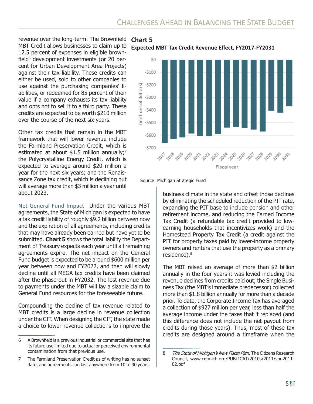revenue over the long-term. The Brownfield **Chart 5** MBT Credit allows businesses to claim up to 12.5 percent of expenses in eligible brownfield<sup>6</sup> development investments (or 20 percent for Urban Development Area Projects) against their tax liability. These credits can either be used, sold to other companies to use against the purchasing companies' liabilities, or redeemed for 85 percent of their value if a company exhausts its tax liability and opts not to sell it to a third party. These credits are expected to be worth \$210 million over the course of the next six years.

Other tax credits that remain in the MBT framework that will lower revenue include the Farmland Preservation Credit, which is estimated at about \$1.5 million annually;<sup>7</sup> the Polycrystalline Energy Credit, which is expected to average around \$20 million a year for the next six years; and the Renaissance Zone tax credit, which is declining but will average more than \$3 million a year until about 2023.

Net General Fund Impact Under the various MBT agreements, the State of Michigan is expected to have a tax credit liability of roughly \$9.2 billion between now and the expiration of all agreements, including credits that may have already been earned but have yet to be submitted. **Chart 5** shows the total liability the Department of Treasury expects each year until all remaining agreements expire. The net impact on the General Fund budget is expected to be around \$600 million per year between now and FY2022, and then will slowly decline until all MEGA tax credits have been claimed after the phase-out in FY2032. The lost revenue due to payments under the MBT will lay a sizable claim to General Fund resources for the foreseeable future.

Compounding the decline of tax revenue related to MBT credits is a large decline in revenue collection under the CIT. When designing the CIT, the state made a choice to lower revenue collections to improve the

**Expected MBT Tax Credit Revenue Effect, FY2017-FY2031**



Source: Michigan Strategic Fund

business climate in the state and offset those declines by eliminating the scheduled reduction of the PIT rate, expanding the PIT base to include pension and other retirement income, and reducing the Earned Income Tax Credit (a refundable tax credit provided to lowearning households that incentivizes work) and the Homestead Property Tax Credit (a credit against the PIT for property taxes paid by lower-income property owners and renters that use the property as a primary residence).8

The MBT raised an average of more than \$2 billion annually in the four years it was levied including the revenue declines from credits paid out; the Single Business Tax (the MBT's immediate predecessor) collected more than \$1.8 billion annually for more than a decade prior. To date, the Corporate Income Tax has averaged a collection of \$927 million per year, less than half the average income under the taxes that it replaced (and this difference does not include the net payout from credits during those years). Thus, most of these tax credits are designed around a timeframe when the

<sup>6</sup> A Brownfield is a previous industrial or commercial site that has its future use limited due to actual or perceived environmental contamination from that previous use.

<sup>7</sup> The Farmland Preservation Credit as of writing has no sunset date, and agreements can last anywhere from 10 to 90 years.

<sup>8</sup> The State of Michigan's New Fiscal Plan, The Citizens Research Council, www.crcmich.org/PUBLICAT/2010s/2011/sbn2011- 02.pdf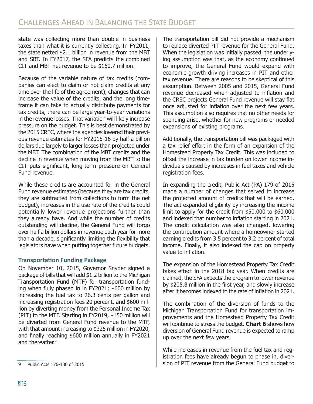state was collecting more than double in business taxes than what it is currently collecting. In FY2011, the state netted \$2.1 billion in revenue from the MBT and SBT. In FY2017, the SFA predicts the combined CIT and MBT net revenue to be \$160.7 million.

Because of the variable nature of tax credits (companies can elect to claim or not claim credits at any time over the life of the agreement), changes that can increase the value of the credits, and the long timeframe it can take to actually distribute payments for tax credits, there can be large year-to-year variations in the revenue losses. That variation will likely increase pressure on the budget. This is best demonstrated by the 2015 CREC, where the agencies lowered their previous revenue estimates for FY2015-16 by half a billion dollars due largely to larger losses than projected under the MBT. The combination of the MBT credits and the decline in revenue when moving from the MBT to the CIT puts significant, long-term pressure on General Fund revenue.

While these credits are accounted for in the General Fund revenue estimates (because they are tax credits, they are subtracted from collections to form the net budget), increases in the use rate of the credits could potentially lower revenue projections further than they already have. And while the number of credits outstanding will decline, the General Fund will forgo over half a billion dollars in revenue each year for more than a decade, significantly limiting the flexibility that legislators have when putting together future budgets.

#### **Transportation Funding Package**

On November 10, 2015, Governor Snyder signed a package of bills that will add \$1.2 billion to the Michigan Transportation Fund (MTF) for transportation funding when fully phased in in FY2021; \$600 million by increasing the fuel tax to 26.3 cents per gallon and increasing registration fees 20 percent, and \$600 million by diverting money from the Personal Income Tax (PIT) to the MTF. Starting in FY2019, \$150 million will be diverted from General Fund revenue to the MTF, with that amount increasing to \$325 million in FY2020, and finally reaching \$600 million annually in FY2021 and thereafter.<sup>9</sup>

The transportation bill did not provide a mechanism to replace diverted PIT revenue for the General Fund. When the legislation was initially passed, the underlying assumption was that, as the economy continued to improve, the General Fund would expand with economic growth driving increases in PIT and other tax revenue. There are reasons to be skeptical of this assumption. Between 2005 and 2015, General Fund revenue decreased when adjusted to inflation and the CREC projects General Fund revenue will stay flat once adjusted for inflation over the next few years. This assumption also requires that no other needs for spending arise, whether for new programs or needed expansions of existing programs.

Additionally, the transportation bill was packaged with a tax relief effort in the form of an expansion of the Homestead Property Tax Credit. This was included to offset the increase in tax burden on lower income individuals caused by increases in fuel taxes and vehicle registration fees.

In expanding the credit, Public Act (PA) 179 of 2015 made a number of changes that served to increase the projected amount of credits that will be earned. The act expanded eligibility by increasing the income limit to apply for the credit from \$50,000 to \$60,000 and indexed that number to inflation starting in 2021. The credit calculation was also changed, lowering the contribution amount where a homeowner started earning credits from 3.5 percent to 3.2 percent of total income. Finally, it also indexed the cap on property value to inflation.

The expansion of the Homestead Property Tax Credit takes effect in the 2018 tax year. When credits are claimed, the SFA expects the program to lower revenue by \$205.8 million in the first year, and slowly increase after it becomes indexed to the rate of inflation in 2021.

The combination of the diversion of funds to the Michigan Transportation Fund for transportation improvements and the Homestead Property Tax Credit will continue to stress the budget. **Chart 6** shows how diversion of General Fund revenue is expected to ramp up over the next few years.

While increases in revenue from the fuel tax and registration fees have already begun to phase in, diver-9 Public Acts 176-180 of 2015 Sion of PIT revenue from the General Fund budget to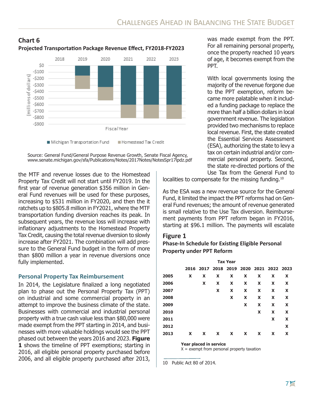

#### **Chart 6 Projected Transportation Package Revenue Effect, FY2018-FY2023**



the MTF and revenue losses due to the Homestead Property Tax Credit will not start until FY2019. In the first year of revenue generation \$356 million in General Fund revenues will be used for these purposes, increasing to \$531 million in FY2020, and then the it ratchets up to \$805.8 million in FY2021, where the MTF transportation funding diversion reaches its peak. In subsequent years, the revenue loss will increase with inflationary adjustments to the Homestead Property Tax Credit, causing the total revenue diversion to slowly increase after FY2021. The combination will add pressure to the General Fund budget in the form of more than \$800 million a year in revenue diversions once fully implemented.

#### **Personal Property Tax Reimbursement**

In 2014, the Legislature finalized a long negotiated plan to phase out the Personal Property Tax (PPT) on industrial and some commercial property in an attempt to improve the business climate of the state. Businesses with commercial and industrial personal property with a true cash value less than \$80,000 were made exempt from the PPT starting in 2014, and businesses with more valuable holdings would see the PPT phased out between the years 2016 and 2023. **Figure 1** shows the timeline of PPT exemptions; starting in 2016, all eligible personal property purchased before 2006, and all eligible property purchased after 2013,

was made exempt from the PPT. For all remaining personal property, once the property reached 10 years of age, it becomes exempt from the PPT.

With local governments losing the majority of the revenue forgone due to the PPT exemption, reform became more palatable when it included a funding package to replace the more than half a billion dollars in local government revenue. The legislation provided two mechanisms to replace local revenue. First, the state created the Essential Services Assessment (ESA), authorizing the state to levy a tax on certain industrial and/or commercial personal property. Second, the state re-directed portions of the Use Tax from the General Fund to

localities to compensate for the missing funding.<sup>10</sup>

As the ESA was a new revenue source for the General Fund, it limited the impact the PPT reforms had on General Fund revenues; the amount of revenue generated is small relative to the Use Tax diversion. Reimbursement payments from PPT reform began in FY2016, starting at \$96.1 million. The payments will escalate

#### **Figure 1**

#### **Phase-In Schedule for Existing Eligible Personal Property under PPT Reform**

|      |      |   |   | <b>Tax Year</b> |   |   |                                         |                           |
|------|------|---|---|-----------------|---|---|-----------------------------------------|---------------------------|
|      |      |   |   |                 |   |   | 2016 2017 2018 2019 2020 2021 2022 2023 |                           |
| 2005 | X    | X | X | X               | X | X | X                                       | $\boldsymbol{\mathsf{x}}$ |
| 2006 |      | X | X | X               | X | X | X                                       | $\mathbf x$               |
| 2007 |      |   | X | X               | X | X | X                                       | X                         |
| 2008 |      |   |   | X               | X | X | X                                       | X                         |
| 2009 |      |   |   |                 | X | X | X                                       | X                         |
| 2010 |      |   |   |                 |   | X | X                                       | X                         |
| 2011 |      |   |   |                 |   |   | X                                       | X                         |
| 2012 |      |   |   |                 |   |   |                                         | X                         |
| 2013 | X    | X | X | X               | X | X | X                                       | X                         |
|      | $ -$ | . |   |                 |   |   |                                         |                           |

**Year placed in service**

 $X =$  exempt from personal property taxation

<sup>10</sup> Public Act 80 of 2014.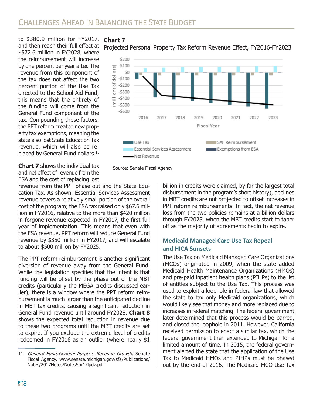to \$380.9 million for FY2017, and then reach their full effect at \$572.6 million in FY2028, where the reimbursement will increase by one percent per year after. The revenue from this component of the tax does not affect the two percent portion of the Use Tax directed to the School Aid Fund; this means that the entirety of the funding will come from the General Fund component of the tax. Compounding these factors, the PPT reform created new property tax exemptions, meaning the state also lost State Education Tax revenue, which will also be replaced by General Fund dollars.<sup>11</sup>

**Chart 7** 





Source: Senate Fiscal Agency

**Chart 7** shows the individual tax and net effect of revenue from the ESA and the cost of replacing lost

revenue from the PPT phase out and the State Education Tax. As shown, Essential Services Assessment revenue covers a relatively small portion of the overall cost of the program; the ESA tax raised only \$67.6 million in FY2016, relative to the more than \$420 million in forgone revenue expected in FY2017, the first full year of implementation. This means that even with the ESA revenue, PPT reform will reduce General Fund revenue by \$350 million in FY2017, and will escalate to about \$500 million by FY2025.

The PPT reform reimbursement is another significant diversion of revenue away from the General Fund. While the legislation specifies that the intent is that funding will be offset by the phase out of the MBT credits (particularly the MEGA credits discussed earlier), there is a window where the PPT reform reimbursement is much larger than the anticipated decline in MBT tax credits, causing a significant reduction in General Fund revenue until around FY2028. **Chart 8** shows the expected total reduction in revenue due to these two programs until the MBT credits are set to expire. If you exclude the extreme level of credits redeemed in FY2016 as an outlier (where nearly \$1

billion in credits were claimed, by far the largest total disbursement in the program's short history), declines in MBT credits are not projected to offset increases in PPT reform reimbursements. In fact, the net revenue loss from the two policies remains at a billion dollars through FY2028, when the MBT credits start to taper off as the majority of agreements begin to expire.

#### **Medicaid Managed Care Use Tax Repeal and HICA Sunsets**

The Use Tax on Medicaid Managed Care Organizations (MCOs) originated in 2009, when the state added Medicaid Health Maintenance Organizations (HMOs) and pre-paid inpatient health plans (PIHPs) to the list of entities subject to the Use Tax. This process was used to exploit a loophole in federal law that allowed the state to tax only Medicaid organizations, which would likely see that money and more replaced due to increases in federal matching. The federal government later determined that this process would be barred, and closed the loophole in 2011. However, California received permission to enact a similar tax, which the federal government then extended to Michigan for a limited amount of time. In 2015, the federal government alerted the state that the application of the Use Tax to Medicaid HMOs and PIHPs must be phased out by the end of 2016. The Medicaid MCO Use Tax

<sup>11</sup> General Fund/General Purpose Revenue Growth, Senate Fiscal Agency, www.senate.michigan.gov/sfa/Publications/ Notes/2017Notes/NotesSpr17lpdz.pdf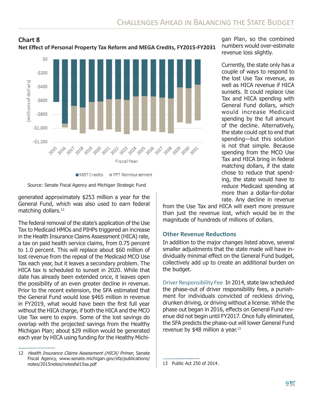

**Net Effect of Personal Property Tax Reform and MEGA Credits, FY2015-FY2031**



MBT Credits PPT Reimbursement

Source: Senate Fiscal Agency and Michigan Strategic Fund

 $-5800$ 

generated approximately \$253 million a year for the General Fund, which was also used to earn federal matching dollars.<sup>12</sup>

The federal removal of the state's application of the Use Tax to Medicaid HMOs and PIHPs triggered an increase in the Health Insurance Claims Assessment (HICA) rate, a tax on paid health service claims, from 0.75 percent to 1.0 percent. This will replace about \$60 million of lost revenue from the repeal of the Medicaid MCO Use Tax each year, but it leaves a secondary problem. The HICA tax is scheduled to sunset in 2020. While that date has already been extended once, it leaves open the possibility of an even greater decline in revenue. Prior to the recent extension, the SFA estimated that the General Fund would lose \$465 million in revenue in FY2019, what would have been the first full year without the HICA charge, if both the HICA and the MCO Use Tax were to expire. Some of the lost savings do overlap with the projected savings from the Healthy Michigan Plan; about \$29 million would be generated each year by HICA using funding for the Healthy Michi-

gan Plan, so the combined numbers would over-estimate revenue loss slightly.

Currently, the state only has a couple of ways to respond to the lost Use Tax revenue, as well as HICA revenue if HICA sunsets. It could replace Use Tax and HICA spending with General Fund dollars, which would increase Medicaid spending by the full amount of the decline. Alternatively, the state could opt to end that spending—but this solution is not that simple. Because spending from the MCO Use Tax and HICA bring in federal matching dollars, if the state chose to reduce that spending, the state would have to reduce Medicaid spending at more than a dollar-for-dollar rate. Any decline in revenue

from the Use Tax and HICA will exert more pressure than just the revenue lost, which would be in the magnitude of hundreds of millions of dollars.

#### **Other Revenue Reductions**

In addition to the major changes listed above, several smaller adjustments that the state made will have individually minimal effect on the General Fund budget, collectively add up to create an additional burden on the budget.

Driver Responsibility Fee In 2014, state law scheduled the phase-out of driver responsibility fees, a punishment for individuals convicted of reckless driving, drunken driving, or driving without a license. While the phase out began in 2016, effects on General Fund revenue did not begin until FY2017. Once fully eliminated, the SFA predicts the phase-out will lower General Fund revenue by \$48 million a year.<sup>13</sup>

<sup>12</sup> Health Insurance Claims Assessment (HICA) Primer, Senate Fiscal Agency, www.senate.michigan.gov/sfa/publications/ notes/2015notes/notesfal15sa.pdf 13 Public Act 250 of 2014.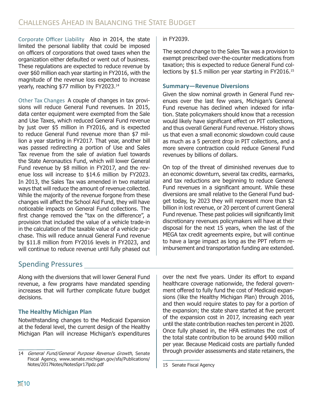Corporate Officer Liability Also in 2014, the state limited the personal liability that could be imposed on officers of corporations that owed taxes when the organization either defaulted or went out of business. These regulations are expected to reduce revenue by over \$60 million each year starting in FY2016, with the magnitude of the revenue loss expected to increase yearly, reaching \$77 million by FY2023.14

Other Tax Changes A couple of changes in tax provisions will reduce General Fund revenues. In 2015, data center equipment were exempted from the Sale and Use Taxes, which reduced General Fund revenue by just over \$5 million in FY2016, and is expected to reduce General Fund revenue more than \$7 million a year starting in FY2017. That year, another bill was passed redirecting a portion of Use and Sales Tax revenue from the sale of aviation fuel towards the State Aeronautics Fund, which will lower General Fund revenue by \$8 million in FY2017, and the revenue loss will increase to \$14.6 million by FY2023. In 2013, the Sales Tax was amended in two material ways that will reduce the amount of revenue collected. While the majority of the revenue forgone from these changes will affect the School Aid Fund, they will have noticeable impacts on General Fund collections. The first change removed the "tax on the difference", a provision that included the value of a vehicle trade-in in the calculation of the taxable value of a vehicle purchase. This will reduce annual General Fund revenue by \$11.8 million from FY2016 levels in FY2023, and will continue to reduce revenue until fully phased out

#### in FY2039.

The second change to the Sales Tax was a provision to exempt prescribed over-the-counter medications from taxation; this is expected to reduce General Fund collections by \$1.5 million per year starting in FY2016.15

#### **Summary—Revenue Diversions**

Given the slow nominal growth in General Fund revenues over the last few years, Michigan's General Fund revenue has declined when indexed for inflation. State policymakers should know that a recession would likely have significant effect on PIT collections, and thus overall General Fund revenue. History shows us that even a small economic slowdown could cause as much as a 5 percent drop in PIT collections, and a more severe contraction could reduce General Fund revenues by billions of dollars.

On top of the threat of diminished revenues due to an economic downturn, several tax credits, earmarks, and tax reductions are beginning to reduce General Fund revenues in a significant amount. While these diversions are small relative to the General Fund budget today, by 2023 they will represent more than \$2 billion in lost revenue, or 20 percent of current General Fund revenue. These past policies will significantly limit discretionary revenues policymakers will have at their disposal for the next 15 years, when the last of the MEGA tax credit agreements expire, but will continue to have a large impact as long as the PPT reform reimbursement and transportation funding are extended.

#### Spending Pressures

Along with the diversions that will lower General Fund revenue, a few programs have mandated spending increases that will further complicate future budget decisions.

#### **The Healthy Michigan Plan**

Notwithstanding changes to the Medicaid Expansion at the federal level, the current design of the Healthy Michigan Plan will increase Michigan's expenditures over the next five years. Under its effort to expand healthcare coverage nationwide, the federal government offered to fully fund the cost of Medicaid expansions (like the Healthy Michigan Plan) through 2016, and then would require states to pay for a portion of the expansion; the state share started at five percent of the expansion cost in 2017, increasing each year until the state contribution reaches ten percent in 2020. Once fully phased in, the HFA estimates the cost of the total state contribution to be around \$400 million per year. Because Medicaid costs are partially funded through provider assessments and state retainers, the

<sup>14</sup> General Fund/General Purpose Revenue Growth, Senate Fiscal Agency, www.senate.michigan.gov/sfa/Publications/ Notes/2017Notes/NotesSpr17lpdz.pdf

<sup>15</sup> Senate Fiscal Agency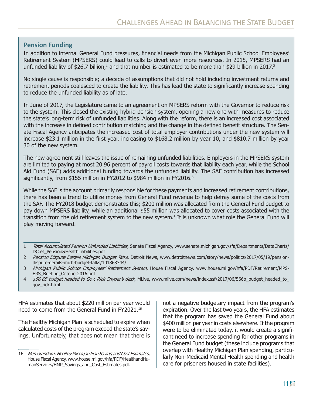#### **Pension Funding**

In addition to internal General Fund pressures, financial needs from the Michigan Public School Employees' Retirement System (MPSERS) could lead to calls to divert even more resources. In 2015, MPSERS had an unfunded liability of \$26.7 billion,<sup>1</sup> and that number is estimated to be more than \$29 billion in 2017.<sup>2</sup>

No single cause is responsible; a decade of assumptions that did not hold including investment returns and retirement periods coalesced to create the liability. This has lead the state to significantly increase spending to reduce the unfunded liability as of late.

In June of 2017, the Legislature came to an agreement on MPSERS reform with the Governor to reduce risk to the system. This closed the existing hybrid pension system, opening a new one with measures to reduce the state's long-term risk of unfunded liabilities. Along with the reform, there is an increased cost associated with the increase in defined contribution matching and the change in the defined benefit structure. The Senate Fiscal Agency anticipates the increased cost of total employer contributions under the new system will increase \$23.1 million in the first year, increasing to \$168.2 million by year 10, and \$810.7 million by year 30 of the new system.

The new agreement still leaves the issue of remaining unfunded liabilities. Employers in the MPSERS system are limited to paying at most 20.96 percent of payroll costs towards that liability each year, while the School Aid Fund (SAF) adds additional funding towards the unfunded liability. The SAF contribution has increased significantly, from \$155 million in FY2012 to \$984 million in FY2016.<sup>3</sup>

While the SAF is the account primarily responsible for these payments and increased retirement contributions, there has been a trend to utilize money from General Fund revenue to help defray some of the costs from the SAF. The FY2018 budget demonstrates this; \$200 million was allocated from the General Fund budget to pay down MPSERS liability, while an additional \$55 million was allocated to cover costs associated with the transition from the old retirement system to the new system.<sup>4</sup> It is unknown what role the General Fund will play moving forward.

HFA estimates that about \$220 million per year would need to come from the General Fund in FY2021.16

The Healthy Michigan Plan is scheduled to expire when calculated costs of the program exceed the state's savings. Unfortunately, that does not mean that there is

not a negative budgetary impact from the program's expiration. Over the last two years, the HFA estimates that the program has saved the General Fund about \$400 million per year in costs elsewhere. If the program were to be eliminated today, it would create a significant need to increase spending for other programs in the General Fund budget (these include programs that overlap with Healthy Michigan Plan spending, particularly Non-Medicaid Mental Health spending and health care for prisoners housed in state facilities).

<sup>1</sup> Total Accumulated Pension Unfunded Liabilities, Senate Fiscal Agency, www.senate.michigan.gov/sfa/Departments/DataCharts/ DCret\_Pension&HealthLiabilities.pdf

<sup>2</sup> Pension Dispute Derails Michigan Budget Talks, Detroit News, www.detroitnews.com/story/news/politics/2017/05/19/pensiondispute-derails-mich-budget-talks/101868344/

<sup>3</sup> Michigan Public School Employees' Retirement System, House Fiscal Agency, www.house.mi.gov/hfa/PDF/Retirement/MPS-ERS\_Briefing\_October2016.pdf

<sup>4 \$56.6</sup>B budget headed to Gov. Rick Snyder's desk, MLive, www.mlive.com/news/index.ssf/2017/06/566b\_budget\_headed\_to gov\_rick.html

<sup>16</sup> Memorandum: Healthy Michigan Plan Saving and Cost Estimates, House Fiscal Agency, www.house.mi.gov/hfa/PDF/HealthandHumanServices/HMP\_Savings\_and\_Cost\_Estimates.pdf.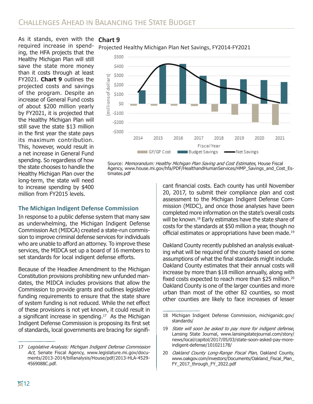As it stands, even with the **Chart 9** required increase in spending, the HFA projects that the Healthy Michigan Plan will still save the state more money than it costs through at least FY2021. **Chart 9** outlines the projected costs and savings of the program. Despite an increase of General Fund costs of about \$200 million yearly by FY2021, it is projected that the Healthy Michigan Plan will still save the state \$13 million in the first year the state pays its maximum contribution. This, however, would result in a net increase in General Fund spending. So regardless of how the state chooses to handle the Healthy Michigan Plan over the long-term, the state will need to increase spending by \$400 million from FY2015 levels.





Source: Memorandum: Healthy Michigan Plan Saving and Cost Estimates, House Fiscal Agency, www.house.mi.gov/hfa/PDF/HealthandHumanServices/HMP\_Savings\_and\_Cost\_Estimates.pdf

#### **The Michigan Indigent Defense Commission**

In response to a public defense system that many saw as underwhelming, the Michigan Indigent Defense Commission Act (MIDCA) created a state-run commission to improve criminal defense services for individuals who are unable to afford an attorney. To improve these services, the MIDCA set up a board of 16 members to set standards for local indigent defense efforts.

Because of the Headlee Amendment to the Michigan Constitution provisions prohibiting new unfunded mandates, the MIDCA includes provisions that allow the Commission to provide grants and outlines legislative funding requirements to ensure that the state share of system funding is not reduced. While the net effect of these provisions is not yet known, it could result in a significant increase in spending.<sup>17</sup> As the Michigan Indigent Defense Commission is proposing its first set of standards, local governments are bracing for significant financial costs. Each county has until November 20, 2017, to submit their compliance plan and cost assessment to the Michigan Indigent Defense Commission (MIDC), and once those analyses have been completed more information on the state's overall costs will be known.<sup>18</sup> Early estimates have the state share of costs for the standards at \$50 million a year, though no official estimates or appropriations have been made.<sup>19</sup>

Oakland County recently published an analysis evaluating what will be required of the county based on some assumptions of what the final standards might include. Oakland County estimates that their annual costs will increase by more than \$18 million annually, along with fixed costs expected to reach more than \$25 million.<sup>20</sup> Oakland County is one of the larger counties and more urban than most of the other 82 counties, so most other counties are likely to face increases of lesser

<sup>17</sup> Legislative Analysis: Michigan Indigent Defense Commission Act, Senate Fiscal Agency, www.legislature.mi.gov/documents/2013-2014/billanalysis/House/pdf/2013-HLA-4529- 4569088C.pdf.

<sup>18</sup> Michigan Indigent Defense Commission, michiganidc.gov/ standards/

<sup>19</sup> State will soon be asked to pay more for indigent defense, Lansing State Journal, www.lansingstatejournal.com/story/ news/local/capitol/2017/05/03/state-soon-asked-pay-moreindigent-defense/101021178/

<sup>20</sup> Oakland County Long-Range Fiscal Plan, Oakland County, www.oakgov.com/investors/Documents/Oakland\_Fiscal\_Plan\_ FY\_2017\_through\_FY\_2022.pdf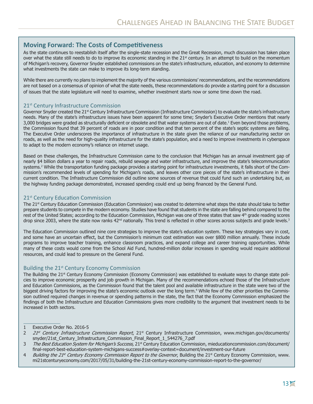#### **Moving Forward: The Costs of Competitiveness**

As the state continues to reestablish itself after the single-state recession and the Great Recession, much discussion has taken place over what the state still needs to do to improve its economic standing in the  $21<sup>st</sup>$  century. In an attempt to build on the momentum of Michigan's recovery, Governor Snyder established commissions on the state's infrastructure, education, and economy to determine what investments the state can make to improve its long-term standing.

While there are currently no plans to implement the majority of the various commissions' recommendations, and the recommendations are not based on a consensus of opinion of what the state needs, these recommendations do provide a starting point for a discussion of issues that the state legislature will need to examine, whether investment starts now or some time down the road.

#### 21<sup>st</sup> Century Infrastructure Commission

Governor Snyder created the 21<sup>st</sup> Century Infrastructure Commission (Infrastructure Commission) to evaluate the state's infrastructure needs. Many of the state's infrastructure issues have been apparent for some time; Snyder's Executive Order mentions that nearly 3,000 bridges were graded as structurally deficient or obsolete and that water systems are out of date.1 Even beyond those problems, the Commission found that 39 percent of roads are in poor condition and that ten percent of the state's septic systems are failing. The Executive Order underscores the importance of infrastructure in the state given the reliance of our manufacturing sector on roads, as well as the need for high-quality infrastructure for the state's population, and a need to improve investments in cyberspace to adapt to the modern economy's reliance on internet usage.

Based on these challenges, the Infrastructure Commission came to the conclusion that Michigan has an annual investment gap of nearly \$4 billion dollars a year to repair roads, rebuild sewage and water infrastructure, and improve the state's telecommunication systems.2 While the transportation funding package provides a starting point for infrastructure investments, it falls short of the Commission's recommended levels of spending for Michigan's roads, and leaves other core pieces of the state's infrastructure in their current condition. The Infrastructure Commission did outline some sources of revenue that could fund such an undertaking but, as the highway funding package demonstrated, increased spending could end up being financed by the General Fund.

#### 21<sup>st</sup> Century Education Commission

The 21st Century Education Commission (Education Commission) was created to determine what steps the state should take to better prepare students to compete in the modern economy. Studies have found that students in the state are falling behind compared to the rest of the United States; according to the Education Commission, Michigan was one of three states that saw 4th grade reading scores drop since 2003, where the state now ranks 42<sup>nd</sup> nationally. This trend is reflected in other scores across subjects and grade levels.<sup>3</sup>

The Education Commission outlined nine core strategies to improve the state's education system. These key strategies vary in cost, and some have an uncertain effect, but the Commission's minimum cost estimation was over \$800 million annually. These include programs to improve teacher training, enhance classroom practices, and expand college and career training opportunities. While many of these costs would come from the School Aid Fund, hundred-million dollar increases in spending would require additional resources, and could lead to pressure on the General Fund.

#### Building the 21<sup>st</sup> Century Economy Commission

The Building the 21<sup>st</sup> Century Economy Commission (Economy Commission) was established to evaluate ways to change state policies to improve economic prosperity and job growth in Michigan. Many of the recommendations echoed those of the Infrastructure and Education Commissions, as the Commission found that the talent pool and available infrastructure in the state were two of the biggest driving factors for improving the state's economic outlook over the long term.4 While few of the other priorities the Commission outlined required changes in revenue or spending patterns in the state, the fact that the Economy Commission emphasized the findings of both the Infrastructure and Education Commissions gives more credibility to the argument that investment needs to be increased in both sectors.

<sup>1</sup> Executive Order No. 2016-5

<sup>2 21</sup>st Century Infrastructure Commission Report, 21st Century Infrastructure Commission, www.michigan.gov/documents/ snyder/21st\_Century\_Infrastructure\_Commission\_Final\_Report\_1\_544276\_7.pdf

<sup>3</sup> The Best Education System for Michigan's Success, 21<sup>st</sup> Century Education Commission, mieducationcommission.com/document/ final-report-best-education-system-michigans-success#overlay-context=document/investment-our-future

<sup>4</sup> Building the 21st Century Economy Commission Report to the Governor, Building the 21st Century Economy Commission, www. mi21stcenturyeconomy.com/2017/05/31/building-the-21st-century-economy-commission-report-to-the-governor/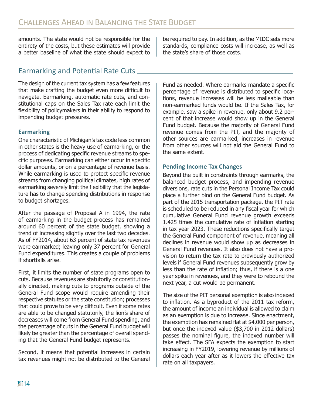amounts. The state would not be responsible for the entirety of the costs, but these estimates will provide a better baseline of what the state should expect to

#### Earmarking and Potential Rate Cuts

The design of the current tax system has a few features that make crafting the budget even more difficult to navigate. Earmarking, automatic rate cuts, and constitutional caps on the Sales Tax rate each limit the flexibility of policymakers in their ability to respond to impending budget pressures.

#### **Earmarking**

One characteristic of Michigan's tax code less common in other states is the heavy use of earmarking, or the process of dedicating specific revenue streams to specific purposes. Earmarking can either occur in specific dollar amounts, or on a percentage of revenue basis. While earmarking is used to protect specific revenue streams from changing political climates, high rates of earmarking severely limit the flexibility that the legislature has to change spending distributions in response to budget shortages.

After the passage of Proposal A in 1994, the rate of earmarking in the budget process has remained around 60 percent of the state budget, showing a trend of increasing slightly over the last two decades. As of FY2014, about 63 percent of state tax revenues were earmarked; leaving only 37 percent for General Fund expenditures. This creates a couple of problems if shortfalls arise.

First, it limits the number of state programs open to cuts. Because revenues are statutorily or constitutionally directed, making cuts to programs outside of the General Fund scope would require amending their respective statutes or the state constitution; processes that could prove to be very difficult. Even if some rates are able to be changed statutorily, the lion's share of decreases will come from General Fund spending, and the percentage of cuts in the General Fund budget will likely be greater than the percentage of overall spending that the General Fund budget represents.

Second, it means that potential increases in certain tax revenues might not be distributed to the General

be required to pay. In addition, as the MIDC sets more standards, compliance costs will increase, as well as the state's share of those costs.

Fund as needed. Where earmarks mandate a specific percentage of revenue is distributed to specific locations, revenue increases will be less malleable than non-earmarked funds would be. If the Sales Tax, for example, saw a spike in revenue, only about 9.2 percent of that increase would show up in the General Fund budget. Because the majority of General Fund revenue comes from the PIT, and the majority of other sources are earmarked, increases in revenue from other sources will not aid the General Fund to the same extent.

#### **Pending Income Tax Changes**

Beyond the built in constraints through earmarks, the balanced budget process, and impending revenue diversions, rate cuts in the Personal Income Tax could place a further bind on the General Fund budget. As part of the 2015 transportation package, the PIT rate is scheduled to be reduced in any fiscal year for which cumulative General Fund revenue growth exceeds 1.425 times the cumulative rate of inflation starting in tax year 2023. These reductions specifically target the General Fund component of revenue, meaning all declines in revenue would show up as decreases in General Fund revenues. It also does not have a provision to return the tax rate to previously authorized levels if General Fund revenues subsequently grow by less than the rate of inflation; thus, if there is a one year spike in revenues, and they were to rebound the next year, a cut would be permanent.

The size of the PIT personal exemption is also indexed to inflation. As a byproduct of the 2011 tax reform, the amount of income an individual is allowed to claim as an exemption is due to increase. Since enactment, the exemption has remained flat at \$4,000 per person, but once the indexed value (\$3,700 in 2012 dollars) passes the nominal figure, the indexed number will take effect. The SFA expects the exemption to start increasing in FY2019, lowering revenue by millions of dollars each year after as it lowers the effective tax rate on all taxpayers.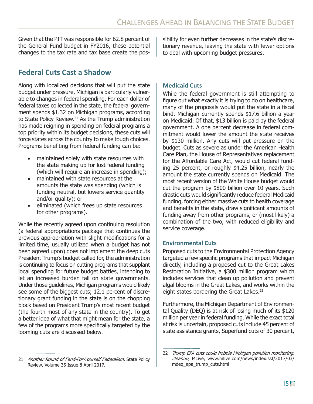Given that the PIT was responsible for 62.8 percent of the General Fund budget in FY2016, these potential changes to the tax rate and tax base create the possibility for even further decreases in the state's discretionary revenue, leaving the state with fewer options to deal with upcoming budget pressures.

#### **Federal Cuts Cast a Shadow**

Along with localized decisions that will put the state budget under pressure, Michigan is particularly vulnerable to changes in federal spending. For each dollar of federal taxes collected in the state, the federal government spends \$1.32 on Michigan programs, according to State Policy Review.<sup>21</sup> As the Trump administration has made reigning in spending on federal programs a top priority within its budget decisions, these cuts will force states across the country to make tough choices. Programs benefiting from federal funding can be:

- maintained solely with state resources with the state making up for lost federal funding (which will require an increase in spending);
- maintained with state resources at the amounts the state was spending (which is funding neutral, but lowers service quantity and/or quality); or
- eliminated (which frees up state resources for other programs).

While the recently agreed upon continuing resolution (a federal appropriations package that continues the previous appropriation with slight modifications for a limited time, usually utilized when a budget has not been agreed upon) does not implement the deep cuts President Trump's budget called for, the administration is continuing to focus on cutting programs that supplant local spending for future budget battles, intending to let an increased burden fall on state governments. Under those guidelines, Michigan programs would likely see some of the biggest cuts; 12.1 percent of discretionary grant funding in the state is on the chopping block based on President Trump's most recent budget (the fourth most of any state in the country). To get a better idea of what that might mean for the state, a few of the programs more specifically targeted by the looming cuts are discussed below.

#### 21 Another Round of Fend-For-Yourself Federalism, State Policy Review, Volume 35 Issue 8 April 2017.

#### **Medicaid Cuts**

While the federal government is still attempting to figure out what exactly it is trying to do on healthcare, many of the proposals would put the state in a fiscal bind. Michigan currently spends \$17.6 billion a year on Medicaid. Of that, \$13 billion is paid by the federal government. A one percent decrease in federal commitment would lower the amount the state receives by \$130 million. Any cuts will put pressure on the budget. Cuts as severe as under the American Health Care Plan, the House of Representatives replacement for the Affordable Care Act, would cut federal funding 25 percent, or roughly \$4.25 billion, nearly the amount the state currently spends on Medicaid. The most recent version of the White House budget would cut the program by \$800 billion over 10 years. Such drastic cuts would significantly reduce federal Medicaid funding, forcing either massive cuts to health coverage and benefits in the state, draw significant amounts of funding away from other programs, or (most likely) a combination of the two, with reduced eligibility and service coverage.

#### **Environmental Cuts**

Proposed cuts to the Environmental Protection Agency targeted a few specific programs that impact Michigan directly, including a proposed cut to the Great Lakes Restoration Initiative, a \$300 million program which includes services that clean up pollution and prevent algal blooms in the Great Lakes, and works within the eight states bordering the Great Lakes.<sup>22</sup>

Furthermore, the Michigan Department of Environmental Quality (DEQ) is at risk of losing much of its \$120 million per year in federal funding. While the exact total at risk is uncertain, proposed cuts include 45 percent of state assistance grants, Superfund cuts of 30 percent,

<sup>22</sup> Trump EPA cuts could hobble Michigan pollution monitoring, cleanup, MLive, www.mlive.com/news/index.ssf/2017/03/ mdeq\_epa\_trump\_cuts.html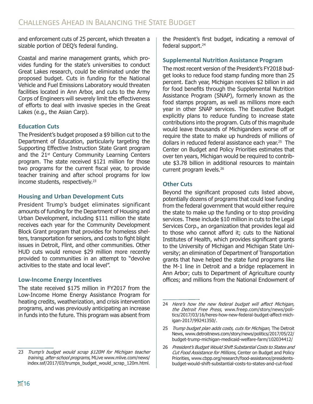and enforcement cuts of 25 percent, which threaten a sizable portion of DEQ's federal funding.

Coastal and marine management grants, which provides funding for the state's universities to conduct Great Lakes research, could be eliminated under the proposed budget. Cuts in funding for the National Vehicle and Fuel Emissions Laboratory would threaten facilities located in Ann Arbor, and cuts to the Army Corps of Engineers will severely limit the effectiveness of efforts to deal with invasive species in the Great Lakes (e.g., the Asian Carp).

#### **Education Cuts**

The President's budget proposed a \$9 billion cut to the Department of Education, particularly targeting the Supporting Effective Instruction State Grant program and the 21<sup>st</sup> Century Community Learning Centers program. The state received \$121 million for those two programs for the current fiscal year, to provide teacher training and after school programs for low income students, respectively.<sup>23</sup>

#### **Housing and Urban Development Cuts**

President Trump's budget eliminates significant amounts of funding for the Department of Housing and Urban Development, including \$111 million the state receives each year for the Community Development Block Grant program that provides for homeless shelters, transportation for seniors, and costs to fight blight issues in Detroit, Flint, and other communities. Other HUD cuts would remove \$29 million more recently provided to communities in an attempt to "devolve activities to the state and local level".

#### **Low-Income Energy Incentives**

The state received \$175 million in FY2017 from the Low-Income Home Energy Assistance Program for heating credits, weatherization, and crisis intervention programs, and was previously anticipating an increase in funds into the future. This program was absent from

23 Trump's budget would scrap \$120M for Michigan teacher training, after-school programs, MLive www.mlive.com/news/ index.ssf/2017/03/trumps\_budget\_would\_scrap\_120m.html.

the President's first budget, indicating a removal of federal support.<sup>24</sup>

#### **Supplemental Nutrition Assistance Program**

The most recent version of the President's FY2018 budget looks to reduce food stamp funding more than 25 percent. Each year, Michigan receives \$2 billion in aid for food benefits through the Supplemental Nutrition Assistance Program (SNAP), formerly known as the food stamps program, as well as millions more each year in other SNAP services. The Executive Budget explicitly plans to reduce funding to increase state contributions into the program. Cuts of this magnitude would leave thousands of Michiganders worse off or require the state to make up hundreds of millions of dollars in reduced federal assistance each year.25 The Center on Budget and Policy Priorities estimates that over ten years, Michigan would be required to contribute \$3.78 billion in additional resources to maintain current program levels.<sup>26</sup>

#### **Other Cuts**

Beyond the significant proposed cuts listed above, potentially dozens of programs that could lose funding from the federal government that would either require the state to make up the funding or to stop providing services. These include \$10 million in cuts to the Legal Services Corp., an organization that provides legal aid to those who cannot afford it; cuts to the National Institutes of Health, which provides significant grants to the University of Michigan and Michigan State University; an elimination of Department of Transportation grants that have helped the state fund programs like the M-1 line in Detroit and a bridge replacement in Ann Arbor; cuts to Department of Agriculture county offices; and millions from the National Endowment of

<sup>24</sup> Here's how the new federal budget will affect Michigan, the Detroit Free Press, www.freep.com/story/news/politics/2017/03/16/heres-how-new-federal-budget-affect-michigan-2017/99241350/.

<sup>25</sup> Trump budget plan adds costs, cuts for Michigan, The Detroit News, www.detroitnews.com/story/news/politics/2017/05/22/ budget-trump-michigan-medicaid-welfare-farm/102034412/

<sup>26</sup> President's Budget Would Shift Substantial Costs to States and Cut Food Assistance for Millions, Center on Budget and Policy Priorities, www.cbpp.org/research/food-assistance/presidentsbudget-would-shift-substantial-costs-to-states-and-cut-food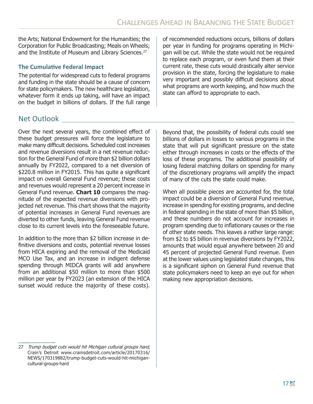the Arts; National Endowment for the Humanities; the Corporation for Public Broadcasting; Meals on Wheels; and the Institute of Museum and Library Sciences.<sup>27</sup>

#### **The Cumulative Federal Impact**

The potential for widespread cuts to federal programs and funding in the state should be a cause of concern for state policymakers. The new healthcare legislation, whatever form it ends up taking, will have an impact on the budget in billions of dollars. If the full range of recommended reductions occurs, billions of dollars per year in funding for programs operating in Michigan will be cut. While the state would not be required to replace each program, or even fund them at their current rate, these cuts would drastically alter service provision in the state, forcing the legislature to make very important and possibly difficult decisions about what programs are worth keeping, and how much the state can afford to appropriate to each.

#### Net Outlook

Over the next several years, the combined effect of these budget pressures will force the legislature to make many difficult decisions. Scheduled cost increases and revenue diversions result in a net revenue reduction for the General Fund of more than \$2 billion dollars annually by FY2022, compared to a net diversion of \$220.8 million in FY2015. This has quite a significant impact on overall General Fund revenue; these costs and revenues would represent a 20 percent increase in General Fund revenue. **Chart 10** compares the magnitude of the expected revenue diversions with projected net revenue. This chart shows that the majority of potential increases in General Fund revenues are diverted to other funds, leaving General Fund revenue close to its current levels into the foreseeable future.

In addition to the more than \$2 billion increase in definitive diversions and costs, potential revenue losses from HICA expiring and the removal of the Medicaid MCO Use Tax, and an increase in indigent defense spending through MIDCA grants will add anywhere from an additional \$50 million to more than \$500 million per year by FY2023 (an extension of the HICA sunset would reduce the majority of these costs).

Beyond that, the possibility of federal cuts could see billions of dollars in losses to various programs in the state that will put significant pressure on the state either through increases in costs or the effects of the loss of these programs. The additional possibility of losing federal matching dollars on spending for many of the discretionary programs will amplify the impact of many of the cuts the state could make.

When all possible pieces are accounted for, the total impact could be a diversion of General Fund revenue, increase in spending for existing programs, and decline in federal spending in the state of more than \$5 billion, and these numbers do not account for increases in program spending due to inflationary causes or the rise of other state needs. This leaves a rather large range: from \$2 to \$5 billion in revenue diversions by FY2022, amounts that would equal anywhere between 20 and 45 percent of projected General Fund revenue. Even at the lower values using legislated state changes, this is a significant siphon on General Fund revenue that state policymakers need to keep an eye out for when making new appropriation decisions.

<sup>27</sup> Trump budget cuts would hit Michigan cultural groups hard, Crain's Detroit www.crainsdetroit.com/article/20170316/ NEWS/170319882/trump-budget-cuts-would-hit-michigancultural-groups-hard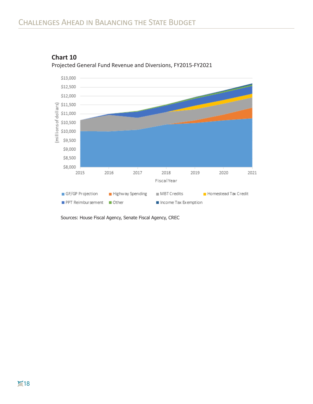

**Chart 10**  Projected General Fund Revenue and Diversions, FY2015-FY2021

Sources: House Fiscal Agency, Senate Fiscal Agency, CREC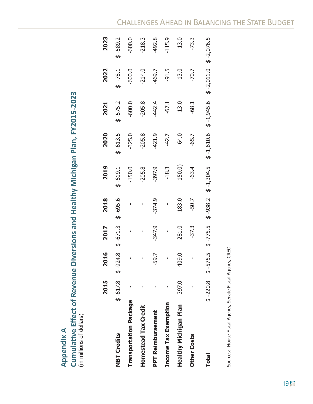| ect of Revenue Diversions and Healthy Michigan Plan, FY2015-2023 |  |
|------------------------------------------------------------------|--|
|                                                                  |  |
|                                                                  |  |
|                                                                  |  |
|                                                                  |  |
|                                                                  |  |
| ŋ<br>ļ                                                           |  |
| in millions of dollar                                            |  |

|                             | 2015  | 2016                                    | 2017     | 2018     | 2019      | 2020       | 2021       | 2022                                                                                                | 2023       |
|-----------------------------|-------|-----------------------------------------|----------|----------|-----------|------------|------------|-----------------------------------------------------------------------------------------------------|------------|
| <b>MBT Credits</b>          |       | $$-617.8$ $$-924.8$ $$-671.3$ $$-695.6$ |          |          | $$-619.1$ | $$ -613.5$ | $$ -575.2$ | $$ -78.1$                                                                                           | $$ -589.2$ |
| Transportation Package      |       |                                         |          |          | $-150.0$  | $-325.0$   | $-600.0$   | $-600.0$                                                                                            | $-600.0$   |
| Homestead Tax Credit        |       |                                         |          |          | $-205.8$  | $-205.8$   | $-205.8$   | $-214.0$                                                                                            | $-218.3$   |
| <b>PPT Reimbursement</b>    |       | -59.7                                   | $-347.9$ | $-374.9$ | $-397.9$  | 421.9      | -442.4     | -469.7                                                                                              | 492.8      |
| <b>Income Tax Exemption</b> |       |                                         |          |          | $-18.3$   | $-42.7$    | $-67.1$    | $-91.5$                                                                                             | $-115.9$   |
| Healthy Michigan Plan       | 397.0 | 409.0                                   | 281.0    | 183.0    | 150.0)    | 64.0       | 13.0       | 13.0                                                                                                | 13.0       |
| <b>Other Costs</b>          |       |                                         | $-37.3$  | $-50.7$  | $-63.4$   | $-65.7$    | $-68.1$    | $-70.7$                                                                                             | $-73.3$    |
| <b>Total</b>                |       |                                         |          |          |           |            |            | $$-220.8$ $$-575.5$ $$-775.5$ $$-938.2$ $$-1,304.5$ $$-1,610.6$ $$-1,945.6$ $$-2,011.0$ $$-2,076.5$ |            |

Sources: House Fiscal Agency, Senate Fiscal Agency, CREC Sources: House Fiscal Agency, Senate Fiscal Agency, CREC

### Challenges Ahead in Balancing the State Budget